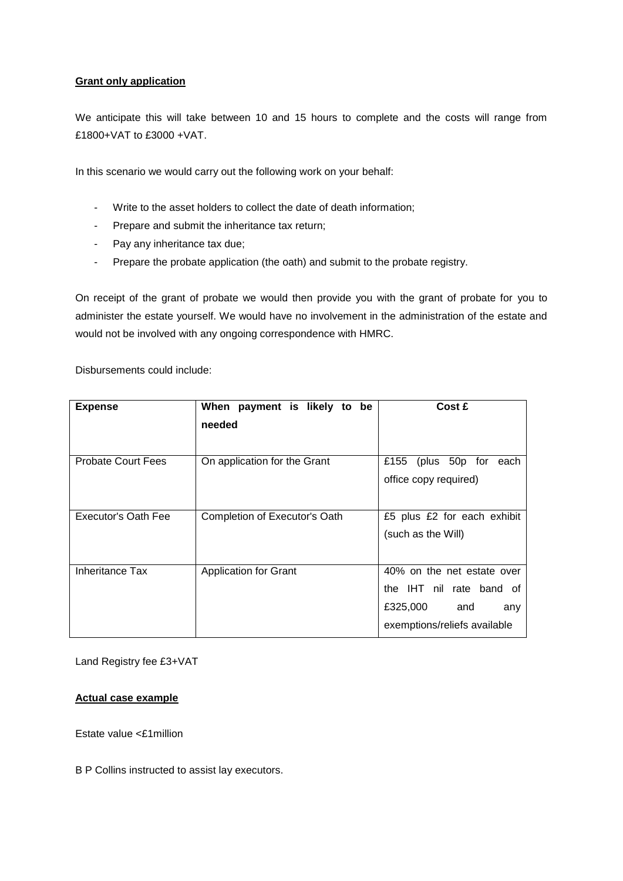## **Grant only application**

We anticipate this will take between 10 and 15 hours to complete and the costs will range from £1800+VAT to £3000 +VAT.

In this scenario we would carry out the following work on your behalf:

- Write to the asset holders to collect the date of death information;
- Prepare and submit the inheritance tax return;
- Pay any inheritance tax due;
- Prepare the probate application (the oath) and submit to the probate registry.

On receipt of the grant of probate we would then provide you with the grant of probate for you to administer the estate yourself. We would have no involvement in the administration of the estate and would not be involved with any ongoing correspondence with HMRC.

Disbursements could include:

| <b>Expense</b>             | When payment is likely to be  | Cost £                       |
|----------------------------|-------------------------------|------------------------------|
|                            | needed                        |                              |
|                            |                               |                              |
| <b>Probate Court Fees</b>  | On application for the Grant  | (plus 50p for each<br>£155   |
|                            |                               | office copy required)        |
|                            |                               |                              |
| <b>Executor's Oath Fee</b> | Completion of Executor's Oath | £5 plus £2 for each exhibit  |
|                            |                               | (such as the Will)           |
|                            |                               |                              |
| Inheritance Tax            | <b>Application for Grant</b>  | 40% on the net estate over   |
|                            |                               | the IHT nil rate band of     |
|                            |                               | £325,000<br>and<br>any       |
|                            |                               | exemptions/reliefs available |

Land Registry fee £3+VAT

## **Actual case example**

Estate value <£1million

B P Collins instructed to assist lay executors.